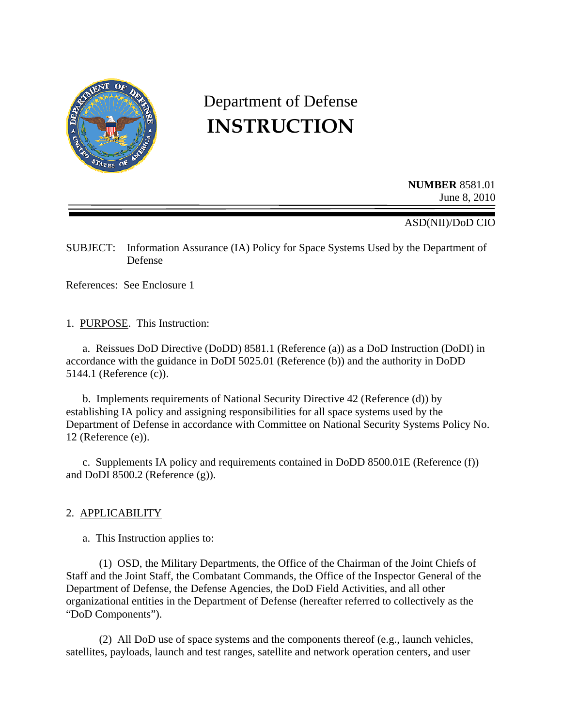

# Department of Defense **INSTRUCTION**

**NUMBER** 8581.01 June 8, 2010

ASD(NII)/DoD CIO

SUBJECT: Information Assurance (IA) Policy for Space Systems Used by the Department of Defense

References: See Enclosure 1

1. PURPOSE. This Instruction:

 a. Reissues DoD Directive (DoDD) 8581.1 (Reference (a)) as a DoD Instruction (DoDI) in accordance with the guidance in DoDI 5025.01 (Reference (b)) and the authority in DoDD 5144.1 (Reference (c)).

 b. Implements requirements of National Security Directive 42 (Reference (d)) by establishing IA policy and assigning responsibilities for all space systems used by the Department of Defense in accordance with Committee on National Security Systems Policy No. 12 (Reference (e)).

 c. Supplements IA policy and requirements contained in DoDD 8500.01E (Reference (f)) and DoDI 8500.2 (Reference (g)).

# 2. APPLICABILITY

a. This Instruction applies to:

 (1) OSD, the Military Departments, the Office of the Chairman of the Joint Chiefs of Staff and the Joint Staff, the Combatant Commands, the Office of the Inspector General of the Department of Defense, the Defense Agencies, the DoD Field Activities, and all other organizational entities in the Department of Defense (hereafter referred to collectively as the "DoD Components").

 (2) All DoD use of space systems and the components thereof (e.g., launch vehicles, satellites, payloads, launch and test ranges, satellite and network operation centers, and user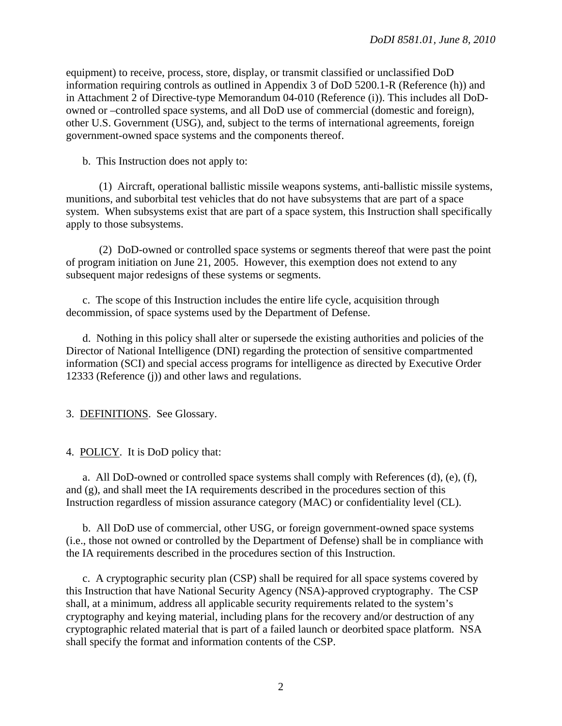equipment) to receive, process, store, display, or transmit classified or unclassified DoD information requiring controls as outlined in Appendix 3 of DoD 5200.1-R (Reference (h)) and in Attachment 2 of Directive-type Memorandum 04-010 (Reference (i)). This includes all DoDowned or –controlled space systems, and all DoD use of commercial (domestic and foreign), other U.S. Government (USG), and, subject to the terms of international agreements, foreign government-owned space systems and the components thereof.

b. This Instruction does not apply to:

 (1) Aircraft, operational ballistic missile weapons systems, anti-ballistic missile systems, munitions, and suborbital test vehicles that do not have subsystems that are part of a space system. When subsystems exist that are part of a space system, this Instruction shall specifically apply to those subsystems.

 (2) DoD-owned or controlled space systems or segments thereof that were past the point of program initiation on June 21, 2005. However, this exemption does not extend to any subsequent major redesigns of these systems or segments.

 c. The scope of this Instruction includes the entire life cycle, acquisition through decommission, of space systems used by the Department of Defense.

 d. Nothing in this policy shall alter or supersede the existing authorities and policies of the Director of National Intelligence (DNI) regarding the protection of sensitive compartmented information (SCI) and special access programs for intelligence as directed by Executive Order 12333 (Reference (j)) and other laws and regulations.

3. DEFINITIONS. See Glossary.

4. POLICY. It is DoD policy that:

a. All DoD-owned or controlled space systems shall comply with References  $(d)$ ,  $(e)$ ,  $(f)$ , and (g), and shall meet the IA requirements described in the procedures section of this Instruction regardless of mission assurance category (MAC) or confidentiality level (CL).

 b. All DoD use of commercial, other USG, or foreign government-owned space systems (i.e., those not owned or controlled by the Department of Defense) shall be in compliance with the IA requirements described in the procedures section of this Instruction.

 c. A cryptographic security plan (CSP) shall be required for all space systems covered by this Instruction that have National Security Agency (NSA)-approved cryptography. The CSP shall, at a minimum, address all applicable security requirements related to the system's cryptography and keying material, including plans for the recovery and/or destruction of any cryptographic related material that is part of a failed launch or deorbited space platform. NSA shall specify the format and information contents of the CSP.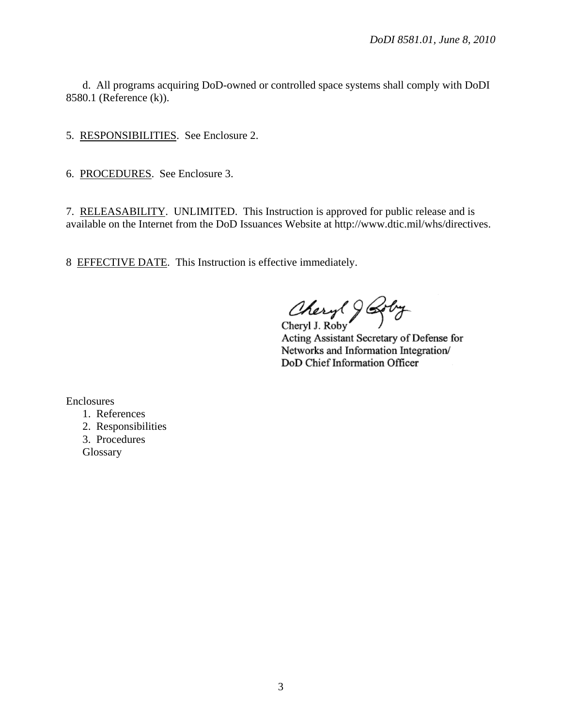d. All programs acquiring DoD-owned or controlled space systems shall comply with DoDI 8580.1 (Reference (k)).

5. RESPONSIBILITIES. See Enclosure 2.

6. PROCEDURES. See Enclosure 3.

7. RELEASABILITY. UNLIMITED. This Instruction is approved for public release and is available on the Internet from the DoD Issuances Website at http://www.dtic.mil/whs/directives.

8 EFFECTIVE DATE. This Instruction is effective immediately.

Cheryl 9

Acting Assistant Secretary of Defense for Networks and Information Integration/ DoD Chief Information Officer

Enclosures

- 1. References
- 2. Responsibilities
- 3. Procedures
- **Glossary**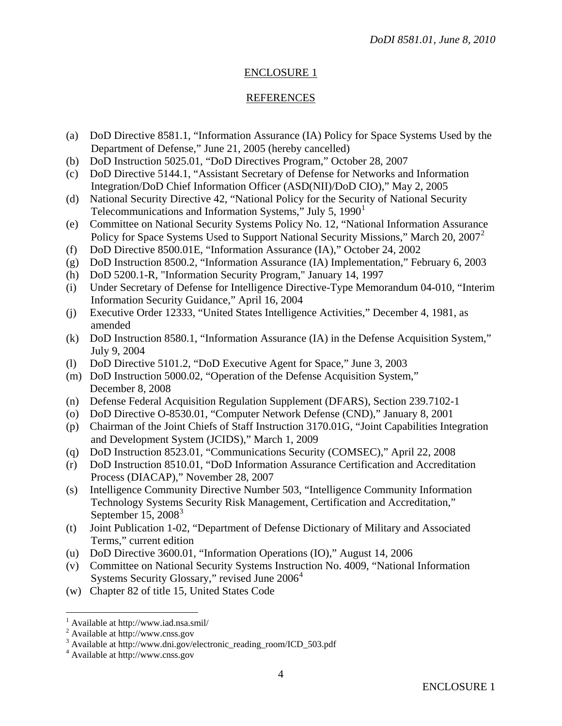# ENCLOSURE 1

#### REFERENCES

- (a) DoD Directive 8581.1, "Information Assurance (IA) Policy for Space Systems Used by the Department of Defense," June 21, 2005 (hereby cancelled)
- (b) DoD Instruction 5025.01, "DoD Directives Program," October 28, 2007
- (c) DoD Directive 5144.1, "Assistant Secretary of Defense for Networks and Information Integration/DoD Chief Information Officer (ASD(NII)/DoD CIO)," May 2, 2005
- (d) National Security Directive 42, "National Policy for the Security of National Security Telecommunications and Information Systems," July 5,  $1990<sup>1</sup>$  $1990<sup>1</sup>$
- (e) Committee on National Security Systems Policy No. 12, "National Information Assurance Policy for Space Systems Used to Support National Security Missions," March [2](#page-3-1)0, 2007<sup>2</sup>
- (f) DoD Directive 8500.01E, "Information Assurance (IA)," October 24, 2002
- (g) DoD Instruction 8500.2, "Information Assurance (IA) Implementation," February 6, 2003
- (h) DoD 5200.1-R, "Information Security Program," January 14, 1997
- (i) Under Secretary of Defense for Intelligence Directive-Type Memorandum 04-010, "Interim Information Security Guidance," April 16, 2004
- (j) Executive Order 12333, "United States Intelligence Activities," December 4, 1981, as amended
- (k) DoD Instruction 8580.1, "Information Assurance (IA) in the Defense Acquisition System," July 9, 2004
- (l) DoD Directive 5101.2, "DoD Executive Agent for Space," June 3, 2003
- (m) DoD Instruction 5000.02, "Operation of the Defense Acquisition System," December 8, 2008
- (n) Defense Federal Acquisition Regulation Supplement (DFARS), Section 239.7102-1
- (o) DoD Directive O-8530.01, "Computer Network Defense (CND)," January 8, 2001
- (p) Chairman of the Joint Chiefs of Staff Instruction 3170.01G, "Joint Capabilities Integration and Development System (JCIDS)," March 1, 2009
- (q) DoD Instruction 8523.01, "Communications Security (COMSEC)," April 22, 2008
- (r) DoD Instruction 8510.01, "DoD Information Assurance Certification and Accreditation Process (DIACAP)," November 28, 2007
- (s) Intelligence Community Directive Number 503, "Intelligence Community Information Technology Systems Security Risk Management, Certification and Accreditation," September 15,  $2008<sup>3</sup>$  $2008<sup>3</sup>$  $2008<sup>3</sup>$
- (t) Joint Publication 1-02, "Department of Defense Dictionary of Military and Associated Terms," current edition
- (u) DoD Directive 3600.01, "Information Operations (IO)," August 14, 2006
- (v) Committee on National Security Systems Instruction No. 4009, "National Information Systems Security Glossary," revised June 2006<sup>[4](#page-3-3)</sup>
- (w) Chapter 82 of title 15, United States Code

 $\overline{a}$ 

<span id="page-3-0"></span><sup>1</sup> Available at http://www.iad.nsa.smil/

<span id="page-3-1"></span><sup>&</sup>lt;sup>2</sup> Available at http://www.cnss.gov

<span id="page-3-2"></span><sup>&</sup>lt;sup>3</sup> Available at http://www.dni.gov/electronic\_reading\_room/ICD\_503.pdf

<span id="page-3-3"></span><sup>4</sup> Available at http://www.cnss.gov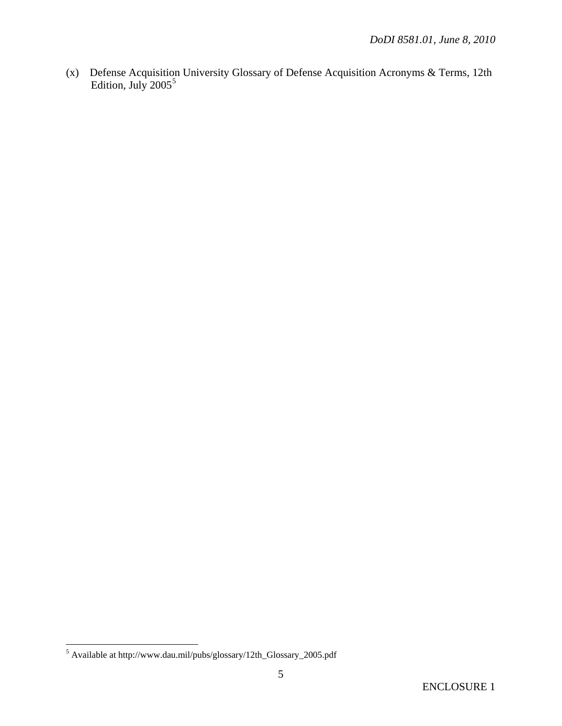(x) Defense Acquisition University Glossary of Defense Acquisition Acronyms & Terms, 12th Edition, July  $2005^5$  $2005^5$  $2005^5$ 

<span id="page-4-0"></span> 5 Available at http://www.dau.mil/pubs/glossary/12th\_Glossary\_2005.pdf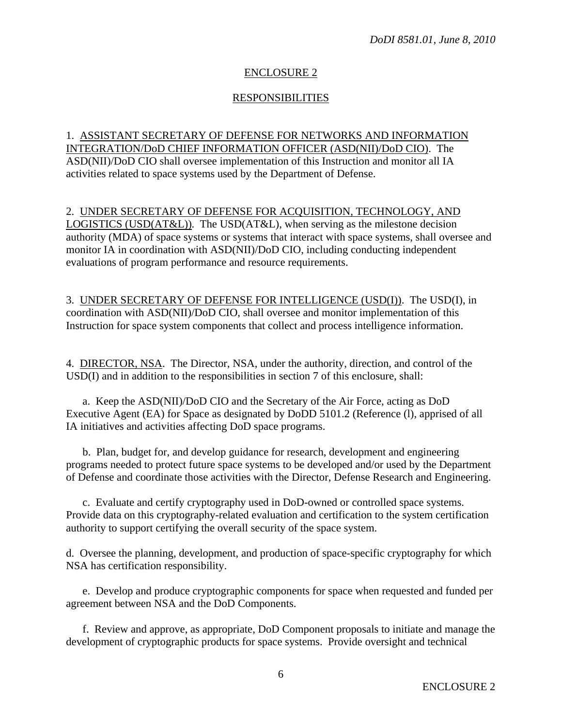# ENCLOSURE 2

# RESPONSIBILITIES

# 1. ASSISTANT SECRETARY OF DEFENSE FOR NETWORKS AND INFORMATION INTEGRATION/DoD CHIEF INFORMATION OFFICER (ASD(NII)/DoD CIO). The ASD(NII)/DoD CIO shall oversee implementation of this Instruction and monitor all IA activities related to space systems used by the Department of Defense.

# 2. UNDER SECRETARY OF DEFENSE FOR ACQUISITION, TECHNOLOGY, AND

LOGISTICS (USD(AT&L)). The USD(AT&L), when serving as the milestone decision authority (MDA) of space systems or systems that interact with space systems, shall oversee and monitor IA in coordination with ASD(NII)/DoD CIO, including conducting independent evaluations of program performance and resource requirements.

3. UNDER SECRETARY OF DEFENSE FOR INTELLIGENCE (USD(I)). The USD(I), in coordination with ASD(NII)/DoD CIO, shall oversee and monitor implementation of this Instruction for space system components that collect and process intelligence information.

4. DIRECTOR, NSA. The Director, NSA, under the authority, direction, and control of the USD(I) and in addition to the responsibilities in section 7 of this enclosure, shall:

 a. Keep the ASD(NII)/DoD CIO and the Secretary of the Air Force, acting as DoD Executive Agent (EA) for Space as designated by DoDD 5101.2 (Reference (l), apprised of all IA initiatives and activities affecting DoD space programs.

 b. Plan, budget for, and develop guidance for research, development and engineering programs needed to protect future space systems to be developed and/or used by the Department of Defense and coordinate those activities with the Director, Defense Research and Engineering.

 c. Evaluate and certify cryptography used in DoD-owned or controlled space systems. Provide data on this cryptography-related evaluation and certification to the system certification authority to support certifying the overall security of the space system.

d. Oversee the planning, development, and production of space-specific cryptography for which NSA has certification responsibility.

 e. Develop and produce cryptographic components for space when requested and funded per agreement between NSA and the DoD Components.

 f. Review and approve, as appropriate, DoD Component proposals to initiate and manage the development of cryptographic products for space systems. Provide oversight and technical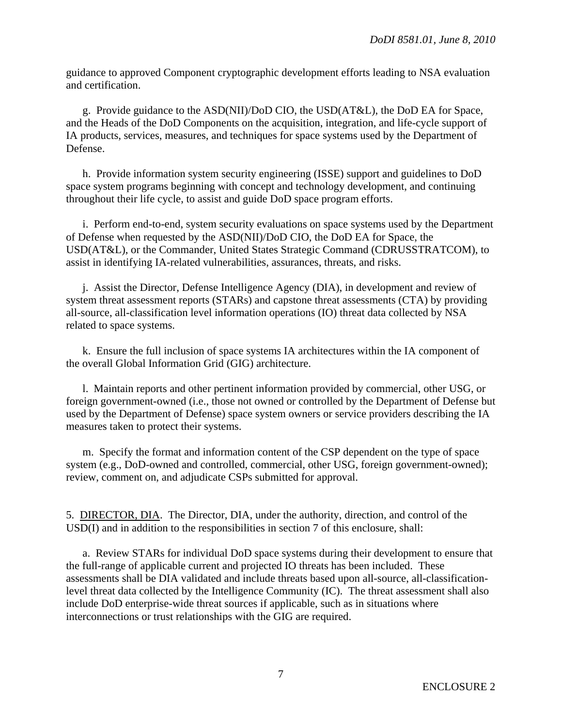guidance to approved Component cryptographic development efforts leading to NSA evaluation and certification.

 g. Provide guidance to the ASD(NII)/DoD CIO, the USD(AT&L), the DoD EA for Space, and the Heads of the DoD Components on the acquisition, integration, and life-cycle support of IA products, services, measures, and techniques for space systems used by the Department of Defense.

 h. Provide information system security engineering (ISSE) support and guidelines to DoD space system programs beginning with concept and technology development, and continuing throughout their life cycle, to assist and guide DoD space program efforts.

 i. Perform end-to-end, system security evaluations on space systems used by the Department of Defense when requested by the ASD(NII)/DoD CIO, the DoD EA for Space, the USD(AT&L), or the Commander, United States Strategic Command (CDRUSSTRATCOM), to assist in identifying IA-related vulnerabilities, assurances, threats, and risks.

 j. Assist the Director, Defense Intelligence Agency (DIA), in development and review of system threat assessment reports (STARs) and capstone threat assessments (CTA) by providing all-source, all-classification level information operations (IO) threat data collected by NSA related to space systems.

 k. Ensure the full inclusion of space systems IA architectures within the IA component of the overall Global Information Grid (GIG) architecture.

 l. Maintain reports and other pertinent information provided by commercial, other USG, or foreign government-owned (i.e., those not owned or controlled by the Department of Defense but used by the Department of Defense) space system owners or service providers describing the IA measures taken to protect their systems.

 m. Specify the format and information content of the CSP dependent on the type of space system (e.g., DoD-owned and controlled, commercial, other USG, foreign government-owned); review, comment on, and adjudicate CSPs submitted for approval.

5. DIRECTOR, DIA. The Director, DIA, under the authority, direction, and control of the USD(I) and in addition to the responsibilities in section 7 of this enclosure, shall:

 a. Review STARs for individual DoD space systems during their development to ensure that the full-range of applicable current and projected IO threats has been included. These assessments shall be DIA validated and include threats based upon all-source, all-classificationlevel threat data collected by the Intelligence Community (IC). The threat assessment shall also include DoD enterprise-wide threat sources if applicable, such as in situations where interconnections or trust relationships with the GIG are required.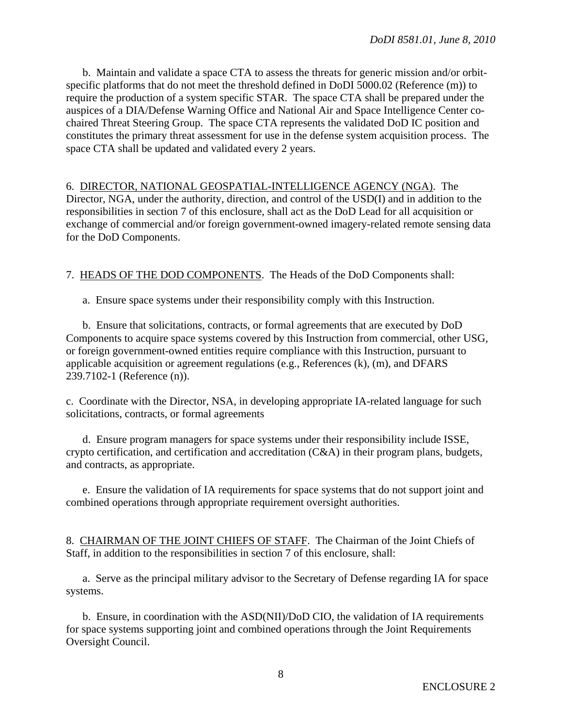b. Maintain and validate a space CTA to assess the threats for generic mission and/or orbitspecific platforms that do not meet the threshold defined in DoDI 5000.02 (Reference (m)) to require the production of a system specific STAR. The space CTA shall be prepared under the auspices of a DIA/Defense Warning Office and National Air and Space Intelligence Center cochaired Threat Steering Group. The space CTA represents the validated DoD IC position and constitutes the primary threat assessment for use in the defense system acquisition process. The space CTA shall be updated and validated every 2 years.

6. DIRECTOR, NATIONAL GEOSPATIAL-INTELLIGENCE AGENCY (NGA). The Director, NGA, under the authority, direction, and control of the USD(I) and in addition to the responsibilities in section 7 of this enclosure, shall act as the DoD Lead for all acquisition or exchange of commercial and/or foreign government-owned imagery-related remote sensing data for the DoD Components.

7. HEADS OF THE DOD COMPONENTS. The Heads of the DoD Components shall:

a. Ensure space systems under their responsibility comply with this Instruction.

 b. Ensure that solicitations, contracts, or formal agreements that are executed by DoD Components to acquire space systems covered by this Instruction from commercial, other USG, or foreign government-owned entities require compliance with this Instruction, pursuant to applicable acquisition or agreement regulations (e.g., References (k), (m), and DFARS 239.7102-1 (Reference (n)).

c. Coordinate with the Director, NSA, in developing appropriate IA-related language for such solicitations, contracts, or formal agreements

 d. Ensure program managers for space systems under their responsibility include ISSE, crypto certification, and certification and accreditation (C&A) in their program plans, budgets, and contracts, as appropriate.

 e. Ensure the validation of IA requirements for space systems that do not support joint and combined operations through appropriate requirement oversight authorities.

8. CHAIRMAN OF THE JOINT CHIEFS OF STAFF. The Chairman of the Joint Chiefs of Staff, in addition to the responsibilities in section 7 of this enclosure, shall:

 a. Serve as the principal military advisor to the Secretary of Defense regarding IA for space systems.

 b. Ensure, in coordination with the ASD(NII)/DoD CIO, the validation of IA requirements for space systems supporting joint and combined operations through the Joint Requirements Oversight Council.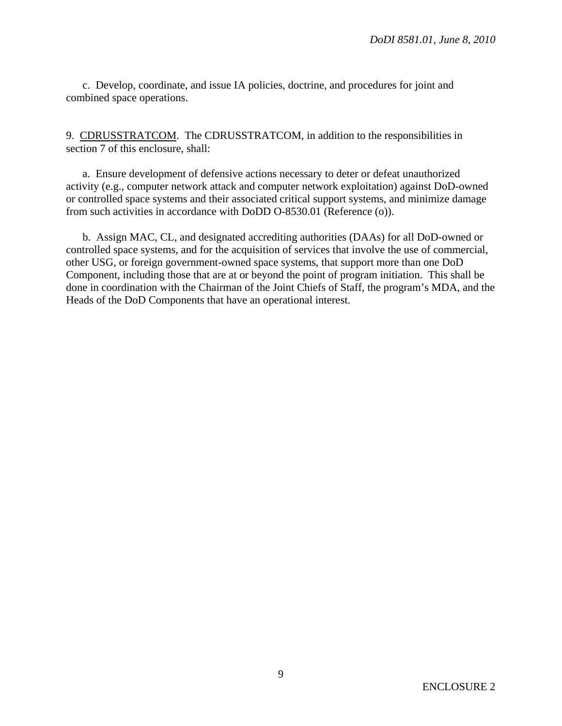c. Develop, coordinate, and issue IA policies, doctrine, and procedures for joint and combined space operations.

9. CDRUSSTRATCOM. The CDRUSSTRATCOM, in addition to the responsibilities in section 7 of this enclosure, shall:

 a. Ensure development of defensive actions necessary to deter or defeat unauthorized activity (e.g., computer network attack and computer network exploitation) against DoD-owned or controlled space systems and their associated critical support systems, and minimize damage from such activities in accordance with DoDD O-8530.01 (Reference (o)).

 b. Assign MAC, CL, and designated accrediting authorities (DAAs) for all DoD-owned or controlled space systems, and for the acquisition of services that involve the use of commercial, other USG, or foreign government-owned space systems, that support more than one DoD Component, including those that are at or beyond the point of program initiation. This shall be done in coordination with the Chairman of the Joint Chiefs of Staff, the program's MDA, and the Heads of the DoD Components that have an operational interest.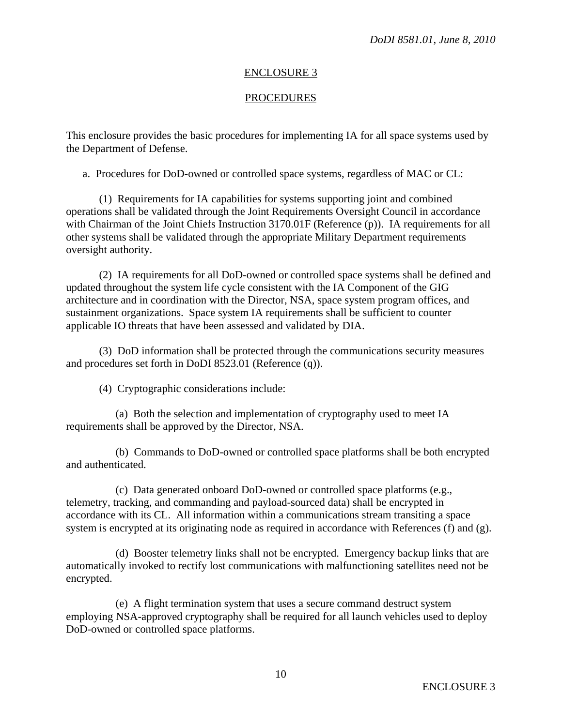#### ENCLOSURE 3

### PROCEDURES

This enclosure provides the basic procedures for implementing IA for all space systems used by the Department of Defense.

a. Procedures for DoD-owned or controlled space systems, regardless of MAC or CL:

 (1) Requirements for IA capabilities for systems supporting joint and combined operations shall be validated through the Joint Requirements Oversight Council in accordance with Chairman of the Joint Chiefs Instruction 3170.01F (Reference (p)). IA requirements for all other systems shall be validated through the appropriate Military Department requirements oversight authority.

 (2) IA requirements for all DoD-owned or controlled space systems shall be defined and updated throughout the system life cycle consistent with the IA Component of the GIG architecture and in coordination with the Director, NSA, space system program offices, and sustainment organizations. Space system IA requirements shall be sufficient to counter applicable IO threats that have been assessed and validated by DIA.

 (3) DoD information shall be protected through the communications security measures and procedures set forth in DoDI 8523.01 (Reference (q)).

(4) Cryptographic considerations include:

 (a) Both the selection and implementation of cryptography used to meet IA requirements shall be approved by the Director, NSA.

 (b) Commands to DoD-owned or controlled space platforms shall be both encrypted and authenticated.

 (c) Data generated onboard DoD-owned or controlled space platforms (e.g., telemetry, tracking, and commanding and payload-sourced data) shall be encrypted in accordance with its CL. All information within a communications stream transiting a space system is encrypted at its originating node as required in accordance with References (f) and (g).

 (d) Booster telemetry links shall not be encrypted. Emergency backup links that are automatically invoked to rectify lost communications with malfunctioning satellites need not be encrypted.

 (e) A flight termination system that uses a secure command destruct system employing NSA-approved cryptography shall be required for all launch vehicles used to deploy DoD-owned or controlled space platforms.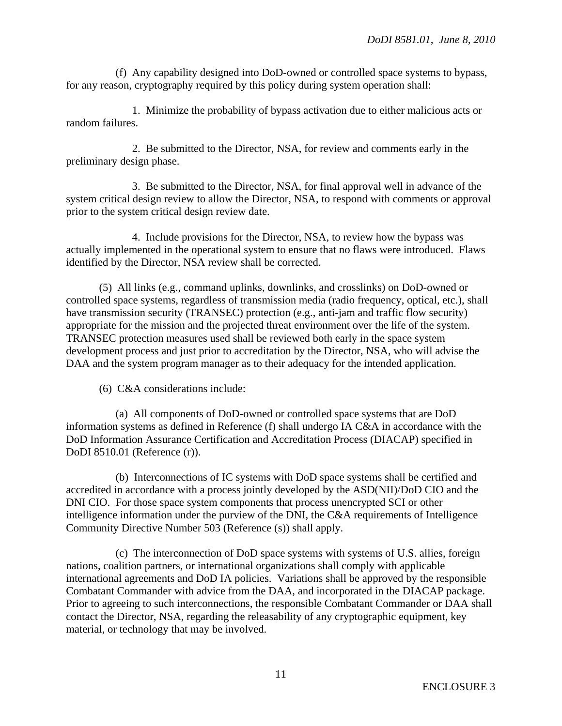(f) Any capability designed into DoD-owned or controlled space systems to bypass, for any reason, cryptography required by this policy during system operation shall:

 1. Minimize the probability of bypass activation due to either malicious acts or random failures.

 2. Be submitted to the Director, NSA, for review and comments early in the preliminary design phase.

 3. Be submitted to the Director, NSA, for final approval well in advance of the system critical design review to allow the Director, NSA, to respond with comments or approval prior to the system critical design review date.

 4. Include provisions for the Director, NSA, to review how the bypass was actually implemented in the operational system to ensure that no flaws were introduced. Flaws identified by the Director, NSA review shall be corrected.

 (5) All links (e.g., command uplinks, downlinks, and crosslinks) on DoD-owned or controlled space systems, regardless of transmission media (radio frequency, optical, etc.), shall have transmission security (TRANSEC) protection (e.g., anti-jam and traffic flow security) appropriate for the mission and the projected threat environment over the life of the system. TRANSEC protection measures used shall be reviewed both early in the space system development process and just prior to accreditation by the Director, NSA, who will advise the DAA and the system program manager as to their adequacy for the intended application.

(6) C&A considerations include:

 (a) All components of DoD-owned or controlled space systems that are DoD information systems as defined in Reference (f) shall undergo IA C&A in accordance with the DoD Information Assurance Certification and Accreditation Process (DIACAP) specified in DoDI 8510.01 (Reference (r)).

 (b) Interconnections of IC systems with DoD space systems shall be certified and accredited in accordance with a process jointly developed by the ASD(NII)/DoD CIO and the DNI CIO. For those space system components that process unencrypted SCI or other intelligence information under the purview of the DNI, the C&A requirements of Intelligence Community Directive Number 503 (Reference (s)) shall apply.

 (c) The interconnection of DoD space systems with systems of U.S. allies, foreign nations, coalition partners, or international organizations shall comply with applicable international agreements and DoD IA policies. Variations shall be approved by the responsible Combatant Commander with advice from the DAA, and incorporated in the DIACAP package. Prior to agreeing to such interconnections, the responsible Combatant Commander or DAA shall contact the Director, NSA, regarding the releasability of any cryptographic equipment, key material, or technology that may be involved.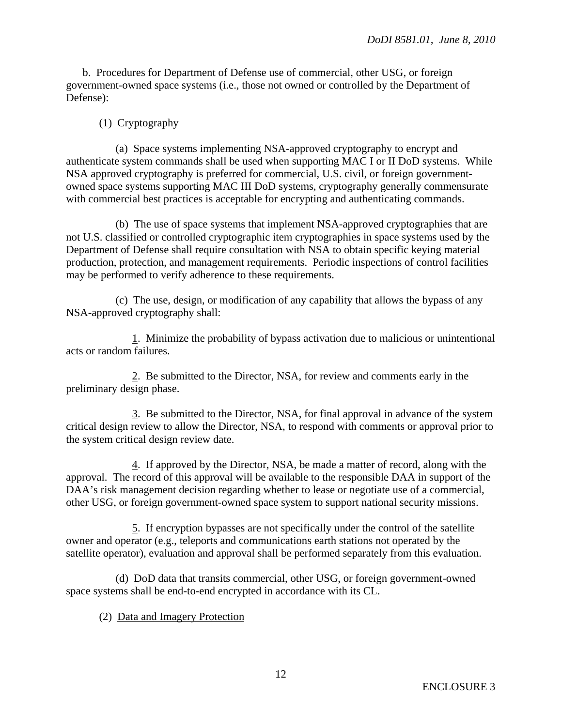b. Procedures for Department of Defense use of commercial, other USG, or foreign government-owned space systems (i.e., those not owned or controlled by the Department of Defense):

# (1) Cryptography

 (a) Space systems implementing NSA-approved cryptography to encrypt and authenticate system commands shall be used when supporting MAC I or II DoD systems. While NSA approved cryptography is preferred for commercial, U.S. civil, or foreign governmentowned space systems supporting MAC III DoD systems, cryptography generally commensurate with commercial best practices is acceptable for encrypting and authenticating commands.

 (b) The use of space systems that implement NSA-approved cryptographies that are not U.S. classified or controlled cryptographic item cryptographies in space systems used by the Department of Defense shall require consultation with NSA to obtain specific keying material production, protection, and management requirements. Periodic inspections of control facilities may be performed to verify adherence to these requirements.

 (c) The use, design, or modification of any capability that allows the bypass of any NSA-approved cryptography shall:

 1. Minimize the probability of bypass activation due to malicious or unintentional acts or random failures.

 2. Be submitted to the Director, NSA, for review and comments early in the preliminary design phase.

 3. Be submitted to the Director, NSA, for final approval in advance of the system critical design review to allow the Director, NSA, to respond with comments or approval prior to the system critical design review date.

 4. If approved by the Director, NSA, be made a matter of record, along with the approval. The record of this approval will be available to the responsible DAA in support of the DAA's risk management decision regarding whether to lease or negotiate use of a commercial, other USG, or foreign government-owned space system to support national security missions.

 5. If encryption bypasses are not specifically under the control of the satellite owner and operator (e.g., teleports and communications earth stations not operated by the satellite operator), evaluation and approval shall be performed separately from this evaluation.

 (d) DoD data that transits commercial, other USG, or foreign government-owned space systems shall be end-to-end encrypted in accordance with its CL.

# (2) Data and Imagery Protection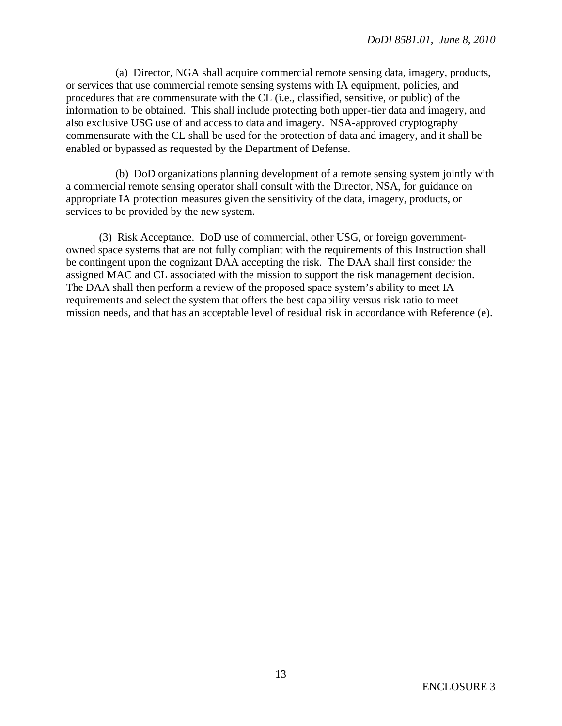(a) Director, NGA shall acquire commercial remote sensing data, imagery, products, or services that use commercial remote sensing systems with IA equipment, policies, and procedures that are commensurate with the CL (i.e., classified, sensitive, or public) of the information to be obtained. This shall include protecting both upper-tier data and imagery, and also exclusive USG use of and access to data and imagery. NSA-approved cryptography commensurate with the CL shall be used for the protection of data and imagery, and it shall be enabled or bypassed as requested by the Department of Defense.

 (b) DoD organizations planning development of a remote sensing system jointly with a commercial remote sensing operator shall consult with the Director, NSA, for guidance on appropriate IA protection measures given the sensitivity of the data, imagery, products, or services to be provided by the new system.

 (3) Risk Acceptance. DoD use of commercial, other USG, or foreign governmentowned space systems that are not fully compliant with the requirements of this Instruction shall be contingent upon the cognizant DAA accepting the risk. The DAA shall first consider the assigned MAC and CL associated with the mission to support the risk management decision. The DAA shall then perform a review of the proposed space system's ability to meet IA requirements and select the system that offers the best capability versus risk ratio to meet mission needs, and that has an acceptable level of residual risk in accordance with Reference (e).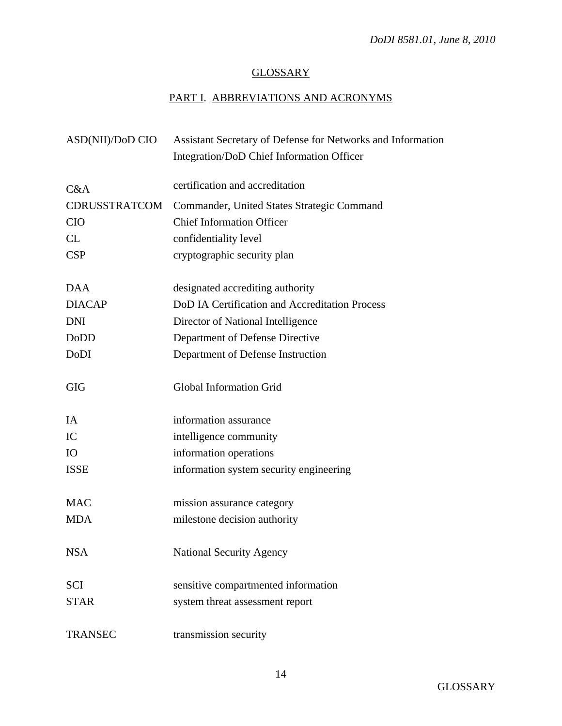# **GLOSSARY**

# PART I. ABBREVIATIONS AND ACRONYMS

| ASD(NII)/DoD CIO     | Assistant Secretary of Defense for Networks and Information |
|----------------------|-------------------------------------------------------------|
|                      | Integration/DoD Chief Information Officer                   |
|                      |                                                             |
| C&A                  | certification and accreditation                             |
| <b>CDRUSSTRATCOM</b> | Commander, United States Strategic Command                  |
| <b>CIO</b>           | <b>Chief Information Officer</b>                            |
| CL                   | confidentiality level                                       |
| <b>CSP</b>           | cryptographic security plan                                 |
|                      |                                                             |
| <b>DAA</b>           | designated accrediting authority                            |
| <b>DIACAP</b>        | DoD IA Certification and Accreditation Process              |
| <b>DNI</b>           | Director of National Intelligence                           |
| DoDD                 | Department of Defense Directive                             |
| DoDI                 | Department of Defense Instruction                           |
|                      |                                                             |
| <b>GIG</b>           | Global Information Grid                                     |
|                      |                                                             |
| IA                   | information assurance                                       |
| IC                   | intelligence community                                      |
| IO                   | information operations                                      |
| <b>ISSE</b>          | information system security engineering                     |
|                      |                                                             |
| <b>MAC</b>           | mission assurance category                                  |
| <b>MDA</b>           | milestone decision authority                                |
|                      |                                                             |
| <b>NSA</b>           | <b>National Security Agency</b>                             |
|                      |                                                             |
| <b>SCI</b>           | sensitive compartmented information                         |
| <b>STAR</b>          | system threat assessment report                             |
|                      |                                                             |
| <b>TRANSEC</b>       | transmission security                                       |
|                      |                                                             |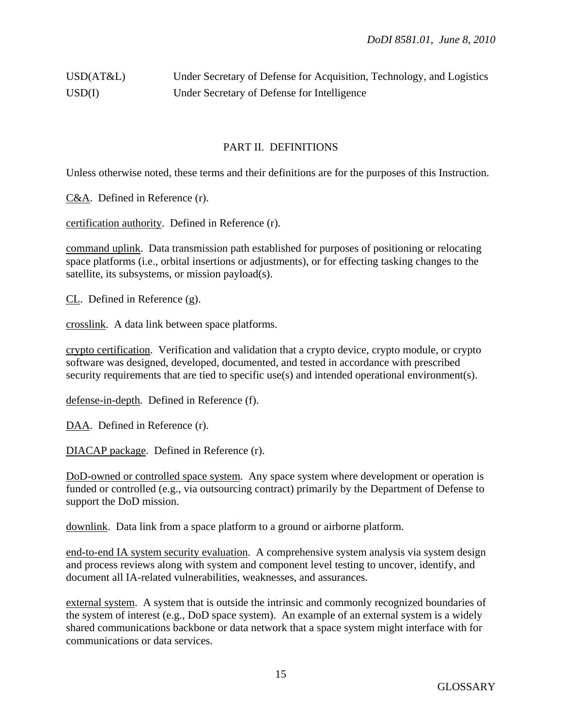# USD(AT&L) Under Secretary of Defense for Acquisition, Technology, and Logistics USD(I) Under Secretary of Defense for Intelligence

#### PART II. DEFINITIONS

Unless otherwise noted, these terms and their definitions are for the purposes of this Instruction.

C&A. Defined in Reference (r).

certification authority. Defined in Reference (r).

command uplink. Data transmission path established for purposes of positioning or relocating space platforms (i.e., orbital insertions or adjustments), or for effecting tasking changes to the satellite, its subsystems, or mission payload(s).

CL. Defined in Reference (g).

crosslink. A data link between space platforms.

crypto certification. Verification and validation that a crypto device, crypto module, or crypto software was designed, developed, documented, and tested in accordance with prescribed security requirements that are tied to specific use(s) and intended operational environment(s).

defense-in-depth. Defined in Reference (f).

DAA. Defined in Reference (r).

DIACAP package. Defined in Reference (r).

DoD-owned or controlled space system. Any space system where development or operation is funded or controlled (e.g., via outsourcing contract) primarily by the Department of Defense to support the DoD mission.

downlink. Data link from a space platform to a ground or airborne platform.

end-to-end IA system security evaluation. A comprehensive system analysis via system design and process reviews along with system and component level testing to uncover, identify, and document all IA-related vulnerabilities, weaknesses, and assurances.

external system. A system that is outside the intrinsic and commonly recognized boundaries of the system of interest (e.g., DoD space system). An example of an external system is a widely shared communications backbone or data network that a space system might interface with for communications or data services.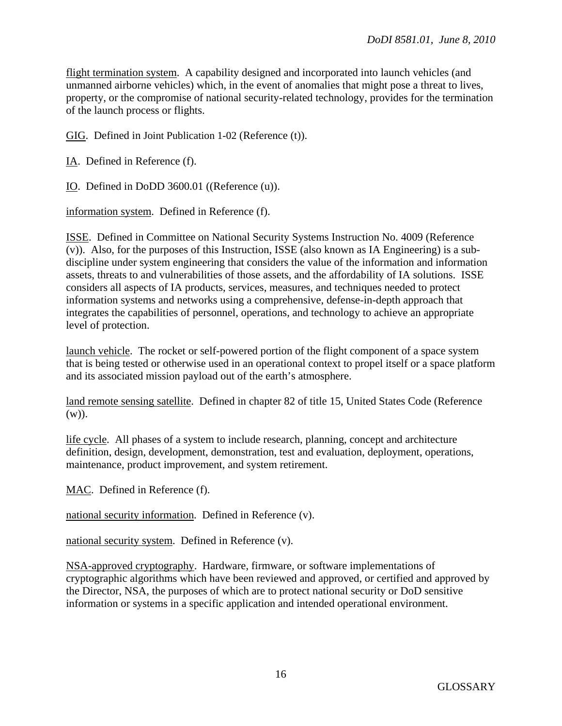flight termination system. A capability designed and incorporated into launch vehicles (and unmanned airborne vehicles) which, in the event of anomalies that might pose a threat to lives, property, or the compromise of national security-related technology, provides for the termination of the launch process or flights.

GIG. Defined in Joint Publication 1-02 (Reference (t)).

IA. Defined in Reference (f).

IO. Defined in DoDD 3600.01 ((Reference (u)).

information system. Defined in Reference (f).

ISSE. Defined in Committee on National Security Systems Instruction No. 4009 (Reference (v)). Also, for the purposes of this Instruction, ISSE (also known as IA Engineering) is a subdiscipline under system engineering that considers the value of the information and information assets, threats to and vulnerabilities of those assets, and the affordability of IA solutions. ISSE considers all aspects of IA products, services, measures, and techniques needed to protect information systems and networks using a comprehensive, defense-in-depth approach that integrates the capabilities of personnel, operations, and technology to achieve an appropriate level of protection.

launch vehicle. The rocket or self-powered portion of the flight component of a space system that is being tested or otherwise used in an operational context to propel itself or a space platform and its associated mission payload out of the earth's atmosphere.

land remote sensing satellite. Defined in chapter 82 of title 15, United States Code (Reference (w)).

life cycle. All phases of a system to include research, planning, concept and architecture definition, design, development, demonstration, test and evaluation, deployment, operations, maintenance, product improvement, and system retirement.

MAC. Defined in Reference (f).

national security information. Defined in Reference (v).

national security system. Defined in Reference (v).

NSA-approved cryptography. Hardware, firmware, or software implementations of cryptographic algorithms which have been reviewed and approved, or certified and approved by the Director, NSA, the purposes of which are to protect national security or DoD sensitive information or systems in a specific application and intended operational environment.